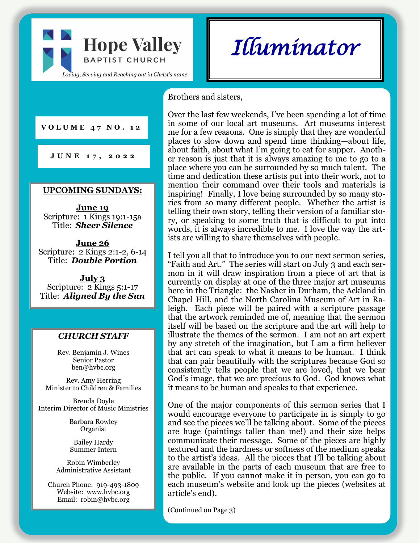

*Illuminator* 

#### Brothers and sisters,

**V O L U M E 4 7 N O . 1 2**

**J U N E 1 7 , 2 0 2 2**

#### **UPCOMING SUNDAYS:**

**June 19** Scripture: 1 Kings 19:1-15a Title: *Sheer Silence*

**June 26** Scripture: 2 Kings 2:1-2, 6-14 Title: *Double Portion*

**July 3** Scripture: 2 Kings 5:1-17 Title: *Aligned By the Sun*

### *CHURCH STAFF*

Rev. Benjamin J. Wines Senior Pastor ben@hvbc.org

Rev. Amy Herring Minister to Children & Families

Brenda Doyle Interim Director of Music Ministries

> Barbara Rowley Organist

Bailey Hardy Summer Intern

Robin Wimberley Administrative Assistant

Church Phone: 919-493-1809 Website: www.hvbc.org Email: robin@hvbc.org

Over the last few weekends, I've been spending a lot of time in some of our local art museums. Art museums interest me for a few reasons. One is simply that they are wonderful places to slow down and spend time thinking—about life, about faith, about what I'm going to eat for supper. Another reason is just that it is always amazing to me to go to a place where you can be surrounded by so much talent. The time and dedication these artists put into their work, not to mention their command over their tools and materials is inspiring! Finally, I love being surrounded by so many stories from so many different people. Whether the artist is telling their own story, telling their version of a familiar story, or speaking to some truth that is difficult to put into words, it is always incredible to me. I love the way the artists are willing to share themselves with people.

I tell you all that to introduce you to our next sermon series, "Faith and Art." The series will start on July 3 and each sermon in it will draw inspiration from a piece of art that is currently on display at one of the three major art museums here in the Triangle: the Nasher in Durham, the Ackland in Chapel Hill, and the North Carolina Museum of Art in Raleigh. Each piece will be paired with a scripture passage that the artwork reminded me of, meaning that the sermon itself will be based on the scripture and the art will help to illustrate the themes of the sermon. I am not an art expert by any stretch of the imagination, but I am a firm believer that art can speak to what it means to be human. I think that can pair beautifully with the scriptures because God so consistently tells people that we are loved, that we bear God's image, that we are precious to God. God knows what it means to be human and speaks to that experience.

One of the major components of this sermon series that I would encourage everyone to participate in is simply to go and see the pieces we'll be talking about. Some of the pieces are huge (paintings taller than me!) and their size helps communicate their message. Some of the pieces are highly textured and the hardness or softness of the medium speaks to the artist's ideas. All the pieces that I'll be talking about are available in the parts of each museum that are free to the public. If you cannot make it in person, you can go to each museum's website and look up the pieces (websites at article's end).

(Continued on Page 3)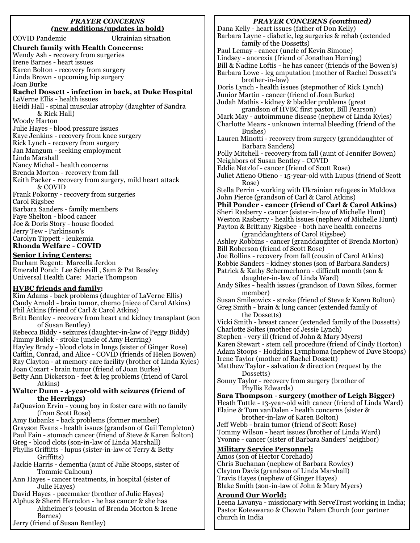#### *PRAYER CONCERNS (***new additions/updates in bold)**

COVID Pandemic Ukrainian situation **Church family with Health Concerns:** Wendy Ash - recovery from surgeries Irene Barnes - heart issues Karen Bolton - recovery from surgery Linda Brown - upcoming hip surgery Joan Burke **Rachel Dossett - infection in back, at Duke Hospital** LaVerne Ellis - health issues Heidi Hall - spinal muscular atrophy (daughter of Sandra & Rick Hall) Woody Harton Julie Hayes - blood pressure issues Kaye Jenkins - recovery from knee surgery Rick Lynch - recovery from surgery Jan Mangum - seeking employment Linda Marshall Nancy Michal - health concerns Brenda Morton - recovery from fall Keith Packer - recovery from surgery, mild heart attack & COVID Frank Pokorny - recovery from surgeries Carol Rigsbee Barbara Sanders - family members Faye Shelton - blood cancer Joe & Doris Story - house flooded Jerry Tew - Parkinson's Carolyn Tippett - leukemia **Rhonda Welfare - COVID**

#### **Senior Living Centers:**

Durham Regent: Marcella Jerdon Emerald Pond: Lee Schevill , Sam & Pat Beasley Universal Health Care: Marie Thompson

#### **HVBC friends and family:**

Kim Adams - back problems (daughter of LaVerne Ellis) Candy Arnold - brain tumor, chemo (niece of Carol Atkins) Phil Atkins (friend of Carl & Carol Atkins) Britt Bentley - recovery from heart and kidney transplant (son of Susan Bentley) Rebecca Biddy - seizures (daughter-in-law of Peggy Biddy) Jimmy Bolick - stroke (uncle of Amy Herring) Hayley Brady - blood clots in lungs (sister of Ginger Rose) Caitlin, Conrad, and Alice - COVID (friends of Helen Bowen) Ray Clayton - at memory care facility (brother of Linda Kyles) Joan Cozart - brain tumor (friend of Joan Burke) Betty Ann Dickerson - feet & leg problems (friend of Carol Atkins) **Walter Dunn - 4-year-old with seizures (friend of the Herrings)** JaQuavion Ervin - young boy in foster care with no family (from Scott Rose) Amy Eubanks - back problems (former member) Grayson Evans - health issues (grandson of Gail Templeton) Paul Fain - stomach cancer (friend of Steve & Karen Bolton) Greg - blood clots (son-in-law of Linda Marshall) Phyllis Griffitts - lupus (sister-in-law of Terry & Betty Griffitts) Jackie Harris - dementia (aunt of Julie Stoops, sister of Tommie Calhoun) Ann Hayes - cancer treatments, in hospital (sister of Julie Hayes) David Hayes - pacemaker (brother of Julie Hayes) Alphus & Sherri Herndon - he has cancer & she has Alzheimer's (cousin of Brenda Morton & Irene Barnes)

Jerry (friend of Susan Bentley)

*PRAYER CONCERNS (continued)*

Dana Kelly - heart issues (father of Don Kelly) Barbara Layne - diabetic, leg surgeries & rehab (extended family of the Dossetts) Paul Lemay - cancer (uncle of Kevin Simone) Lindsey - anorexia (friend of Jonathan Herring) Bill & Nadine Loftis - he has cancer (friends of the Bowen's) Barbara Lowe - leg amputation (mother of Rachel Dossett's brother-in-law) Doris Lynch - health issues (stepmother of Rick Lynch) Junior Martin - cancer (friend of Joan Burke) Judah Mathis - kidney & bladder problems (great grandson of HVBC first pastor, Bill Pearson) Mark May - autoimmune disease (nephew of Linda Kyles) Charlotte Mears - unknown internal bleeding (friend of the Bushes) Lauren Minotti - recovery from surgery (granddaughter of Barbara Sanders) Polly Mitchell - recovery from fall (aunt of Jennifer Bowen) Neighbors of Susan Bentley - COVID Eddie Netzlof - cancer (friend of Scott Rose) Juliet Atieno Otieno - 15-year-old with Lupus (friend of Scott Rose) Stella Perrin - working with Ukrainian refugees in Moldova John Pierce (grandson of Carl & Carol Atkins) **Phil Ponder - cancer (friend of Carl & Carol Atkins)** Sheri Rasberry - cancer (sister-in-law of Michelle Hunt) Weston Rasberry - health issues (nephew of Michelle Hunt) Payton & Brittany Rigsbee - both have health concerns (granddaughters of Carol Rigsbee) Ashley Robbins - cancer (granddaughter of Brenda Morton) Bill Roberson (friend of Scott Rose) Joe Rollins - recovery from fall (cousin of Carol Atkins) Robbie Sanders - kidney stones (son of Barbara Sanders) Patrick & Kathy Schermerhorn - difficult month (son & daughter-in-law of Linda Ward) Andy Sikes - health issues (grandson of Dawn Sikes, former member) Susan Smileowicz - stroke (friend of Steve & Karen Bolton) Greg Smith - brain & lung cancer (extended family of the Dossetts) Vicki Smith - breast cancer (extended family of the Dossetts) Charlotte Soltes (mother of Jessie Lynch) Stephen - very ill (friend of John & Mary Myers) Karen Stewart - stem cell procedure (friend of Cindy Horton) Adam Stoops - Hodgkins Lymphoma (nephew of Dave Stoops) Irene Taylor (mother of Rachel Dossett) Matthew Taylor - salvation & direction (request by the Dossetts) Sonny Taylor - recovery from surgery (brother of Phyllis Edwards) **Sara Thompson - surgery (mother of Leigh Bigger)** Heath Tuttle - 13-year-old with cancer (friend of Linda Ward) Elaine & Tom vanDalen - health concerns (sister & brother-in-law of Karen Bolton) Jeff Webb - brain tumor (friend of Scott Rose) Tommy Wilson - heart issues (brother of Linda Ward) Yvonne - cancer (sister of Barbara Sanders' neighbor) **Military Service Personnel:** Amos (son of Hector Corchado) Chris Buchanan (nephew of Barbara Rowley) Clayton Davis (grandson of Linda Marshall) Travis Hayes (nephew of Ginger Hayes) Blake Smith (son-in-law of John & Mary Myers)

#### **Around Our World:**

Leena Lavanya - missionary with ServeTrust working in India; Pastor Koteswarao & Chowtu Palem Church (our partner church in India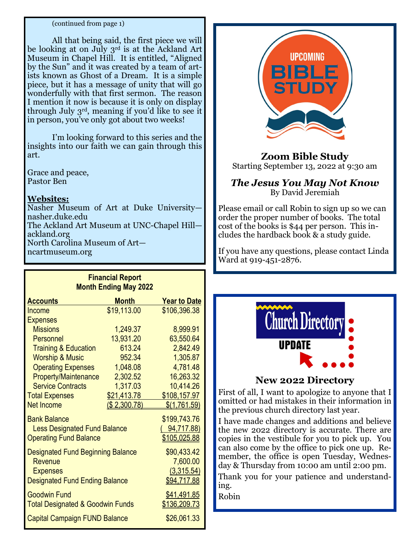#### (continued from page 1)

All that being said, the first piece we will be looking at on July 3<sup>rd</sup> is at the Ackland Art Museum in Chapel Hill. It is entitled, "Aligned by the Sun" and it was created by a team of artists known as Ghost of a Dream. It is a simple piece, but it has a message of unity that will go wonderfully with that first sermon. The reason I mention it now is because it is only on display through July 3rd, meaning if you'd like to see it in person, you've only got about two weeks!

I'm looking forward to this series and the insights into our faith we can gain through this art.

Grace and peace, Pastor Ben

### **Websites:**

Nasher Museum of Art at Duke University nasher.duke.edu The Ackland Art Museum at UNC-Chapel Hill ackland.org North Carolina Museum of Art ncartmuseum.org

**Financial Report**

| <u>Filianulai Report</u><br><b>Month Ending May 2022</b> |                     |                     |
|----------------------------------------------------------|---------------------|---------------------|
| <b>Accounts</b>                                          | <b>Month</b>        | <b>Year to Date</b> |
| Income                                                   | \$19,113.00         | \$106,396.38        |
| <b>Expenses</b>                                          |                     |                     |
| <b>Missions</b>                                          | 1,249.37            | 8,999.91            |
| Personnel                                                | 13,931.20           | 63,550.64           |
| <b>Training &amp; Education</b>                          | 613.24              | 2,842.49            |
| <b>Worship &amp; Music</b>                               | 952.34              | 1,305.87            |
| <b>Operating Expenses</b>                                | 1,048.08            | 4,781.48            |
| <b>Property/Maintenance</b>                              | 2,302.52            | 16,263.32           |
| <b>Service Contracts</b>                                 | 1,317.03            | 10,414.26           |
| <b>Total Expenses</b>                                    | \$21,413.78         | \$108,157.97        |
| <b>Net Income</b>                                        | <u>(\$2,300.78)</u> | \$(1,761.59)        |
| <b>Bank Balance</b>                                      |                     | \$199,743.76        |
| <b>Less Designated Fund Balance</b>                      |                     | <u>(94,717.88)</u>  |
| <b>Operating Fund Balance</b>                            |                     | <u>\$105,025.88</u> |
| <b>Designated Fund Beginning Balance</b>                 |                     | \$90,433.42         |
| Revenue                                                  |                     | 7,600.00            |
| <b>Expenses</b>                                          |                     | (3,315.54)          |
| <b>Designated Fund Ending Balance</b>                    |                     | \$94,717.88         |
| <b>Goodwin Fund</b>                                      |                     | \$41,491.85         |
| <b>Total Designated &amp; Goodwin Funds</b>              |                     | \$136,209.73        |
| <b>Capital Campaign FUND Balance</b>                     |                     | \$26,061.33         |



### **Zoom Bible Study** Starting September 13, 2022 at 9:30 am

### *The Jesus You May Not Know* By David Jeremiah

Please email or call Robin to sign up so we can order the proper number of books. The total cost of the books is \$44 per person. This includes the hardback book & a study guide.

If you have any questions, please contact Linda Ward at 919-451-2876.



### **New 2022 Directory**

First of all, I want to apologize to anyone that I omitted or had mistakes in their information in the previous church directory last year.

I have made changes and additions and believe the new 2022 directory is accurate. There are copies in the vestibule for you to pick up. You can also come by the office to pick one up. Remember, the office is open Tuesday, Wednesday & Thursday from 10:00 am until 2:00 pm.

Thank you for your patience and understanding.

Robin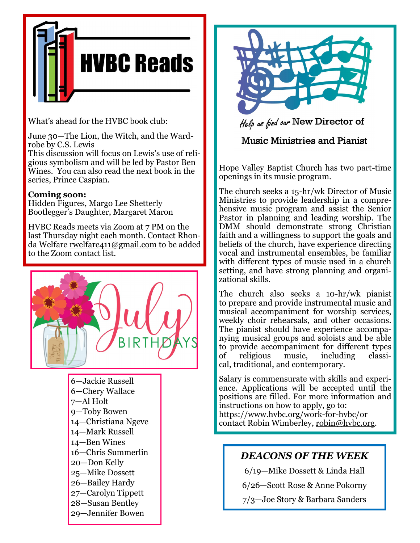

What's ahead for the HVBC book club:

June 30—The Lion, the Witch, and the Wardrobe by C.S. Lewis

This discussion will focus on Lewis's use of religious symbolism and will be led by Pastor Ben Wines. You can also read the next book in the series, Prince Caspian.

### **Coming soon:**

Hidden Figures, Margo Lee Shetterly Bootlegger's Daughter, Margaret Maron

HVBC Reads meets via Zoom at 7 PM on the last Thursday night each month. Contact Rhonda Welfare [rwelfare411@gmail.com](mailto:rwelfare411@gmail.com) to be added to the Zoom contact list.



—Jackie Russell —Chery Wallace 7—Al Holt —Toby Bowen —Christiana Ngeve —Mark Russell —Ben Wines —Chris Summerlin —Don Kelly —Mike Dossett —Bailey Hardy —Carolyn Tippett —Susan Bentley —Jennifer Bowen



Help as find our New Director of

## **Music Ministries and Pianist**

Hope Valley Baptist Church has two part-time openings in its music program.

The church seeks a 15-hr/wk Director of Music Ministries to provide leadership in a comprehensive music program and assist the Senior Pastor in planning and leading worship. The DMM should demonstrate strong Christian faith and a willingness to support the goals and beliefs of the church, have experience directing vocal and instrumental ensembles, be familiar with different types of music used in a church setting, and have strong planning and organizational skills.

The church also seeks a 10-hr/wk pianist to prepare and provide instrumental music and musical accompaniment for worship services, weekly choir rehearsals, and other occasions. The pianist should have experience accompanying musical groups and soloists and be able to provide accompaniment for different types of religious music, including classical, traditional, and contemporary.

Salary is commensurate with skills and experience. Applications will be accepted until the positions are filled. For more information and instructions on how to apply, go to: [https://www.hvbc.org/work](https://nam02.safelinks.protection.outlook.com/?url=https%3A%2F%2Fwww.hvbc.org%2Fwork-for-hvbc%2F&data=05%7C01%7Crobin%40hvbc.org%7Ca5b207ea5fb64ca2c25d08da4d48b263%7C19334143b857471a909f515a9e93cce3%7C0%7C0%7C637907271894970762%7CUnknown%7CTWFpbGZsb3d8eyJWIj)-for-hvbc/or contact Robin Wimberley, [robin@hvbc.org.](mailto:robin@hvbc.org)

# *DEACONS OF THE WEEK*

6/19—Mike Dossett & Linda Hall

6/26—Scott Rose & Anne Pokorny

7/3—Joe Story & Barbara Sanders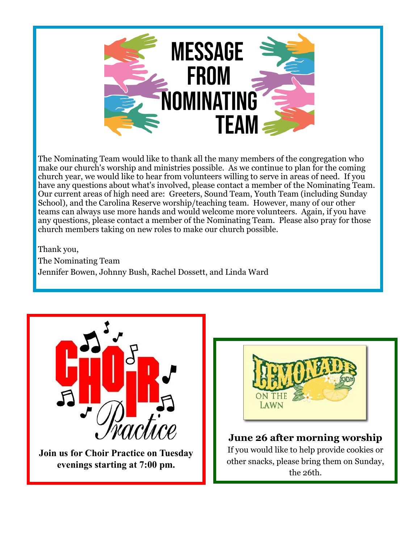

The Nominating Team would like to thank all the many members of the congregation who make our church's worship and ministries possible. As we continue to plan for the coming church year, we would like to hear from volunteers willing to serve in areas of need. If you have any questions about what's involved, please contact a member of the Nominating Team. Our current areas of high need are: Greeters, Sound Team, Youth Team (including Sunday School), and the Carolina Reserve worship/teaching team. However, many of our other teams can always use more hands and would welcome more volunteers. Again, if you have any questions, please contact a member of the Nominating Team. Please also pray for those church members taking on new roles to make our church possible.

Thank you, The Nominating Team Jennifer Bowen, Johnny Bush, Rachel Dossett, and Linda Ward



**Join us for Choir Practice on Tuesday evenings starting at 7:00 pm.**



### **June 26 after morning worship** If you would like to help provide cookies or other snacks, please bring them on Sunday, the 26th.